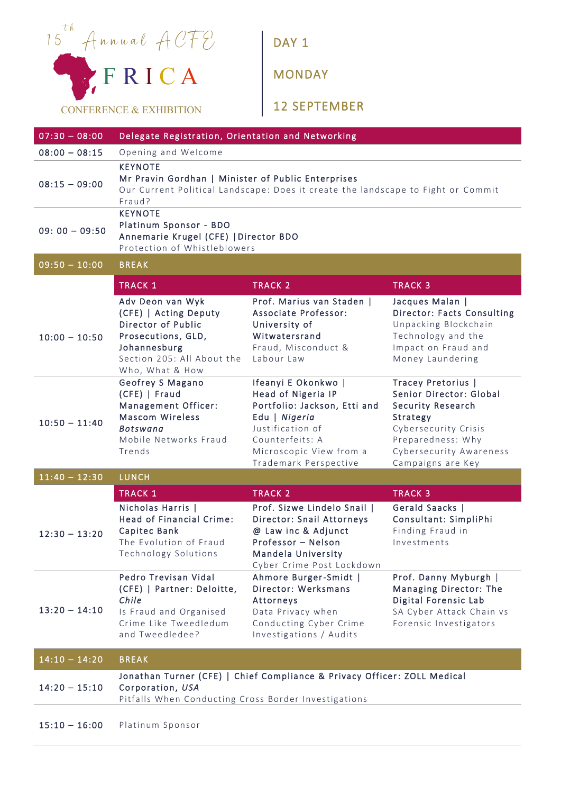

CONFERENCE & EXHIBITION

DAY 1

MONDAY

12 SEPTEMBER

| $07:30 - 08:00$ | Delegate Registration, Orientation and Networking                                                                                                                                    |                                                                                                                                                                                       |                                                                                                                                                                             |
|-----------------|--------------------------------------------------------------------------------------------------------------------------------------------------------------------------------------|---------------------------------------------------------------------------------------------------------------------------------------------------------------------------------------|-----------------------------------------------------------------------------------------------------------------------------------------------------------------------------|
| $08:00 - 08:15$ | Opening and Welcome                                                                                                                                                                  |                                                                                                                                                                                       |                                                                                                                                                                             |
| $08:15 - 09:00$ | <b>KEYNOTE</b><br>Mr Pravin Gordhan   Minister of Public Enterprises<br>Our Current Political Landscape: Does it create the landscape to Fight or Commit<br>Fraud?<br><b>KEYNOTE</b> |                                                                                                                                                                                       |                                                                                                                                                                             |
| $09:00 - 09:50$ | Platinum Sponsor - BDO<br>Annemarie Krugel (CFE)   Director BDO<br>Protection of Whistleblowers                                                                                      |                                                                                                                                                                                       |                                                                                                                                                                             |
| $09:50 - 10:00$ | <b>BREAK</b>                                                                                                                                                                         |                                                                                                                                                                                       |                                                                                                                                                                             |
|                 | <b>TRACK 1</b>                                                                                                                                                                       | TRACK <sub>2</sub>                                                                                                                                                                    | <b>TRACK 3</b>                                                                                                                                                              |
| $10:00 - 10:50$ | Adv Deon van Wyk<br>(CFE)   Acting Deputy<br>Director of Public<br>Prosecutions, GLD,<br>Johannesburg<br>Section 205: All About the<br>Who, What & How                               | Prof. Marius van Staden  <br>Associate Professor:<br>University of<br>Witwatersrand<br>Fraud, Misconduct &<br>Labour Law                                                              | Jacques Malan  <br>Director: Facts Consulting<br>Unpacking Blockchain<br>Technology and the<br>Impact on Fraud and<br>Money Laundering                                      |
| $10:50 - 11:40$ | Geofrey S Magano<br>(CFE)   Fraud<br>Management Officer:<br><b>Mascom Wireless</b><br><b>Botswana</b><br>Mobile Networks Fraud<br>Trends                                             | Ifeanyi E Okonkwo  <br>Head of Nigeria IP<br>Portfolio: Jackson, Etti and<br>Edu   Nigeria<br>Justification of<br>Counterfeits: A<br>Microscopic View from a<br>Trademark Perspective | Tracey Pretorius  <br>Senior Director: Global<br>Security Research<br>Strategy<br>Cybersecurity Crisis<br>Preparedness: Why<br>Cybersecurity Awareness<br>Campaigns are Key |
| $11:40 - 12:30$ | <b>LUNCH</b>                                                                                                                                                                         |                                                                                                                                                                                       |                                                                                                                                                                             |
| $12:30 - 13:20$ | <b>TRACK 1</b><br>Nicholas Harris  <br>Head of Financial Crime:<br>Capitec Bank<br>The Evolution of Fraud<br>Technology Solutions                                                    | <b>TRACK 2</b><br>Prof. Sizwe Lindelo Snail  <br>Director: Snail Attorneys<br>@ Law inc & Adjunct<br>Professor - Nelson<br>Mandela University<br>Cyber Crime Post Lockdown            | <b>TRACK 3</b><br>Gerald Saacks  <br>Consultant: SimpliPhi<br>Finding Fraud in<br>Investments                                                                               |
| $13:20 - 14:10$ | Pedro Trevisan Vidal<br>(CFE)   Partner: Deloitte,<br>Chile<br>Is Fraud and Organised<br>Crime Like Tweedledum<br>and Tweedledee?                                                    | Ahmore Burger-Smidt  <br>Director: Werksmans<br>Attorneys<br>Data Privacy when<br>Conducting Cyber Crime<br>Investigations / Audits                                                   | Prof. Danny Myburgh  <br>Managing Director: The<br>Digital Forensic Lab<br>SA Cyber Attack Chain vs<br>Forensic Investigators                                               |
| $14:10 - 14:20$ | <b>BREAK</b>                                                                                                                                                                         |                                                                                                                                                                                       |                                                                                                                                                                             |
| $14:20 - 15:10$ | Jonathan Turner (CFE)   Chief Compliance & Privacy Officer: ZOLL Medical<br>Corporation, USA<br>Pitfalls When Conducting Cross Border Investigations                                 |                                                                                                                                                                                       |                                                                                                                                                                             |
| $15:10 - 16:00$ | Platinum Sponsor                                                                                                                                                                     |                                                                                                                                                                                       |                                                                                                                                                                             |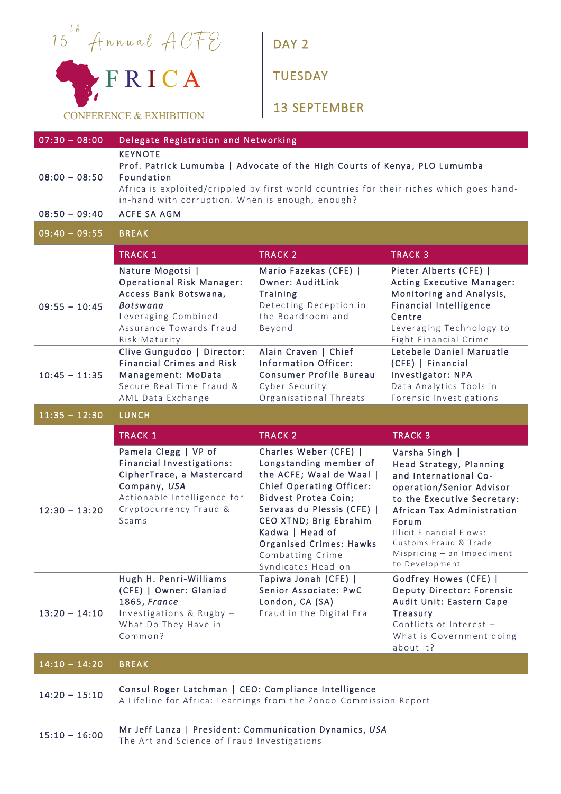|                                    |                                                                                                                                                                                                                                                          | DAY <sub>2</sub>                                                                                                                                                                                                                                                                              |                                                                                                                                                                                                                                                                                |
|------------------------------------|----------------------------------------------------------------------------------------------------------------------------------------------------------------------------------------------------------------------------------------------------------|-----------------------------------------------------------------------------------------------------------------------------------------------------------------------------------------------------------------------------------------------------------------------------------------------|--------------------------------------------------------------------------------------------------------------------------------------------------------------------------------------------------------------------------------------------------------------------------------|
| $15$ <sup>th</sup> Annual ACFE     |                                                                                                                                                                                                                                                          | <b>TUESDAY</b>                                                                                                                                                                                                                                                                                |                                                                                                                                                                                                                                                                                |
| <b>CONFERENCE &amp; EXHIBITION</b> |                                                                                                                                                                                                                                                          | <b>13 SEPTEMBER</b>                                                                                                                                                                                                                                                                           |                                                                                                                                                                                                                                                                                |
| $07:30 - 08:00$                    | Delegate Registration and Networking                                                                                                                                                                                                                     |                                                                                                                                                                                                                                                                                               |                                                                                                                                                                                                                                                                                |
| $08:00 - 08:50$                    | <b>KEYNOTE</b><br>Prof. Patrick Lumumba   Advocate of the High Courts of Kenya, PLO Lumumba<br>Foundation<br>Africa is exploited/crippled by first world countries for their riches which goes hand-<br>in-hand with corruption. When is enough, enough? |                                                                                                                                                                                                                                                                                               |                                                                                                                                                                                                                                                                                |
| $08:50 - 09:40$                    | <b>ACFE SA AGM</b>                                                                                                                                                                                                                                       |                                                                                                                                                                                                                                                                                               |                                                                                                                                                                                                                                                                                |
| $09:40 - 09:55$                    | <b>BREAK</b>                                                                                                                                                                                                                                             |                                                                                                                                                                                                                                                                                               |                                                                                                                                                                                                                                                                                |
|                                    | <b>TRACK 1</b>                                                                                                                                                                                                                                           | <b>TRACK 2</b>                                                                                                                                                                                                                                                                                | <b>TRACK 3</b>                                                                                                                                                                                                                                                                 |
| $09:55 - 10:45$                    | Nature Mogotsi  <br>Operational Risk Manager:<br>Access Bank Botswana,<br><b>Botswana</b><br>Leveraging Combined<br>Assurance Towards Fraud<br>Risk Maturity                                                                                             | Mario Fazekas (CFE)  <br>Owner: AuditLink<br><b>Training</b><br>Detecting Deception in<br>the Boardroom and<br>Beyond                                                                                                                                                                         | Pieter Alberts (CFE)  <br>Acting Executive Manager:<br>Monitoring and Analysis,<br><b>Financial Intelligence</b><br>Centre<br>Leveraging Technology to<br>Fight Financial Crime                                                                                                |
| $10:45 - 11:35$                    | Clive Gungudoo   Director:<br><b>Financial Crimes and Risk</b><br>Management: MoData<br>Secure Real Time Fraud &<br>AML Data Exchange                                                                                                                    | Alain Craven   Chief<br>Information Officer:<br>Consumer Profile Bureau<br>Cyber Security<br>Organisational Threats                                                                                                                                                                           | Letebele Daniel Maruatle<br>(CFE)   Financial<br>Investigator: NPA<br>Data Analytics Tools in<br>Forensic Investigations                                                                                                                                                       |
| $11:35 - 12:30$                    | <b>LUNCH</b>                                                                                                                                                                                                                                             |                                                                                                                                                                                                                                                                                               |                                                                                                                                                                                                                                                                                |
|                                    | <b>TRACK 1</b>                                                                                                                                                                                                                                           | <b>TRACK 2</b>                                                                                                                                                                                                                                                                                | <b>TRACK 3</b>                                                                                                                                                                                                                                                                 |
| $12:30 - 13:20$                    | Pamela Clegg   VP of<br><b>Financial Investigations:</b><br>CipherTrace, a Mastercard<br>Company, USA<br>Actionable Intelligence for<br>Cryptocurrency Fraud &<br>Scams                                                                                  | Charles Weber (CFE)  <br>Longstanding member of<br>the ACFE; Waal de Waal  <br><b>Chief Operating Officer:</b><br>Bidvest Protea Coin;<br>Servaas du Plessis (CFE)  <br>CEO XTND; Brig Ebrahim<br>Kadwa   Head of<br><b>Organised Crimes: Hawks</b><br>Combatting Crime<br>Syndicates Head-on | Varsha Singh<br>Head Strategy, Planning<br>and International Co-<br>operation/Senior Advisor<br>to the Executive Secretary:<br>African Tax Administration<br><b>Forum</b><br>Illicit Financial Flows:<br>Customs Fraud & Trade<br>Mispricing - an Impediment<br>to Development |
| $13:20 - 14:10$                    | Hugh H. Penri-Williams<br>(CFE)   Owner: Glaniad<br>1865, France<br>Investigations & Rugby -<br>What Do They Have in<br>Common?                                                                                                                          | Tapiwa Jonah (CFE)  <br>Senior Associate: PwC<br>London, CA (SA)<br>Fraud in the Digital Era                                                                                                                                                                                                  | Godfrey Howes (CFE)  <br>Deputy Director: Forensic<br>Audit Unit: Eastern Cape<br>Treasury<br>Conflicts of Interest -<br>What is Government doing<br>about it?                                                                                                                 |
| $14:10 - 14:20$                    | <b>BREAK</b>                                                                                                                                                                                                                                             |                                                                                                                                                                                                                                                                                               |                                                                                                                                                                                                                                                                                |
| $14:20 - 15:10$                    | Consul Roger Latchman   CEO: Compliance Intelligence<br>A Lifeline for Africa: Learnings from the Zondo Commission Report                                                                                                                                |                                                                                                                                                                                                                                                                                               |                                                                                                                                                                                                                                                                                |
| $15:10 - 16:00$                    | Mr Jeff Lanza   President: Communication Dynamics, USA<br>The Art and Science of Fraud Investigations                                                                                                                                                    |                                                                                                                                                                                                                                                                                               |                                                                                                                                                                                                                                                                                |